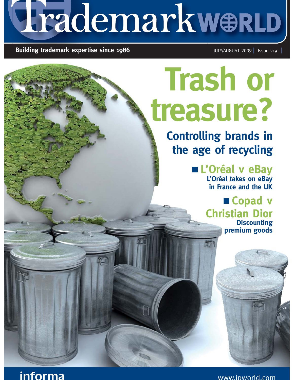# LrademarkwerLD

## **Building trademark expertise since 1986** JULY/AUGUST 2009 ISSUE 219

## **Trash or treasure?**

**Controlling brands in the age of recycling**

- **L'Oréal v eBay**

**L'Oréal takes on eBay in France and the UK** 

**E** Copad v **Christian Dior Discounting premium goods** 



www.ipworld.com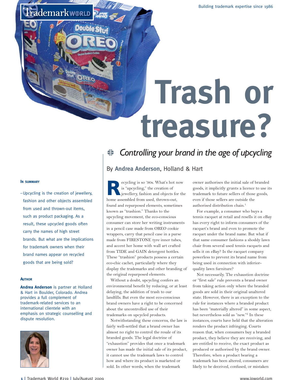## **Trash or treasure?**

### **IN SUMMARY**

–Upcycling is the creation of jewellery, fashion and other objects assembled from used and thrown-out items, such as product packaging. As a result, these upcycled goods often carry the names of high street brands. But what are the implications for trademark owners when their brand names appear on recycled goods that are being sold?

Frademarkworld

### **AUTHOR**

**Andrea Anderson** is partner at Holland & Hart in Boulder, Colorado. Andrea provides a full complement of trademark-related services to an international clientele with an emphasis on strategic counselling and dispute resolution.



## <del>≢</del> Controlling your brand in the age of upcycling

## By **Andrea Anderson**, Holland & Hart

**R**ecycling is so '90s. What's hot now is "upcycling," the creation of jewellery, fashion and objects for the home assembled from used, thrown-out, found and repurposed elements, sometimes known as "trashion." Thanks to the upcycling movement, the eco-conscious consumer can store her writing instruments in a pencil case made from OREO cookie wrappers, carry that pencil case in a purse made from FIRESTONE tyre inner tubes, and accent her home with wall art crafted from TIDE and GAIN detergent bottles. These "trashion" products possess a certain eco-chic cachet, particularly where they display the trademarks and other branding of the original repurposed elements.

Without a doubt, upcycling confers an environmental benefit by reducing, or at least delaying, the addition of trash to our landfills. But even the most eco-conscious brand owners have a right to be concerned about the uncontrolled use of their trademarks on upcycled products.

Notwithstanding these concerns, the law is fairly well-settled that a brand owner has almost no right to control the resale of its branded goods. The legal doctrine of "exhaustion" provides that once a trademark owner has made the initial sale of its product, it cannot use the trademark laws to control how and where its product is marketed or sold. In other words, when the trademark

owner authorises the initial sale of branded goods, it implicitly grants a licence to use its trademark to future sellers of those goods, even if those sellers are outside the authorised distribution chain.<sup>1</sup>

For example, a consumer who buys a tennis racquet at retail and resells it on eBay has every right to inform consumers of the racquet's brand and even to promote the racquet under the brand name. But what if that same consumer fashions a shoddy lawn chair from several used tennis racquets and sells it on eBay? Is the racquet company powerless to prevent its brand name from being used in connection with inferiorquality lawn furniture?

Not necessarily. The exhaustion doctrine or "first sale" rule prevents a brand owner from taking action only where the branded goods are sold in their original unaltered state. However, there is an exception to the rule for instances where a branded product has been "materially altered" in some aspect, but nevertheless sold as "new."<sup>2</sup> In these instances, courts have held that the alteration renders the product infringing. Courts reason that, when consumers buy a branded product, they believe they are receiving, and are entitled to receive, the exact product as produced or authorised by the brand owner. Therefore, when a product bearing a trademark has been altered, consumers are likely to be deceived, confused, or mistaken